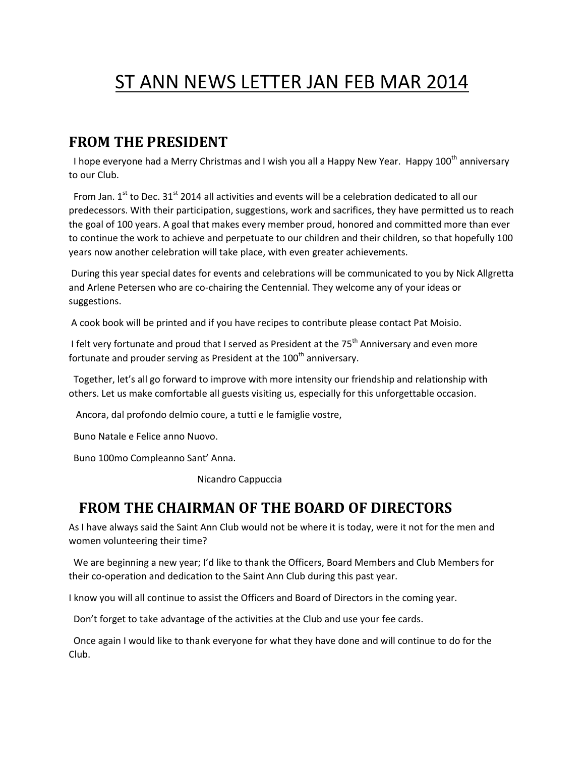# ST ANN NEWS LETTER JAN FEB MAR 2014

#### **FROM THE PRESIDENT**

I hope everyone had a Merry Christmas and I wish you all a Happy New Year. Happy 100<sup>th</sup> anniversary to our Club.

From Jan. 1<sup>st</sup> to Dec. 31<sup>st</sup> 2014 all activities and events will be a celebration dedicated to all our predecessors. With their participation, suggestions, work and sacrifices, they have permitted us to reach the goal of 100 years. A goal that makes every member proud, honored and committed more than ever to continue the work to achieve and perpetuate to our children and their children, so that hopefully 100 years now another celebration will take place, with even greater achievements.

During this year special dates for events and celebrations will be communicated to you by Nick Allgretta and Arlene Petersen who are co-chairing the Centennial. They welcome any of your ideas or suggestions.

A cook book will be printed and if you have recipes to contribute please contact Pat Moisio.

I felt very fortunate and proud that I served as President at the  $75<sup>th</sup>$  Anniversary and even more fortunate and prouder serving as President at the  $100<sup>th</sup>$  anniversary.

Together, let's all go forward to improve with more intensity our friendship and relationship with others. Let us make comfortable all guests visiting us, especially for this unforgettable occasion.

Ancora, dal profondo delmio coure, a tutti e le famiglie vostre,

Buno Natale e Felice anno Nuovo.

Buno 100mo Compleanno Sant' Anna.

Nicandro Cappuccia

### **FROM THE CHAIRMAN OF THE BOARD OF DIRECTORS**

As I have always said the Saint Ann Club would not be where it is today, were it not for the men and women volunteering their time?

We are beginning a new year; I'd like to thank the Officers, Board Members and Club Members for their co-operation and dedication to the Saint Ann Club during this past year.

I know you will all continue to assist the Officers and Board of Directors in the coming year.

Don't forget to take advantage of the activities at the Club and use your fee cards.

Once again I would like to thank everyone for what they have done and will continue to do for the Club.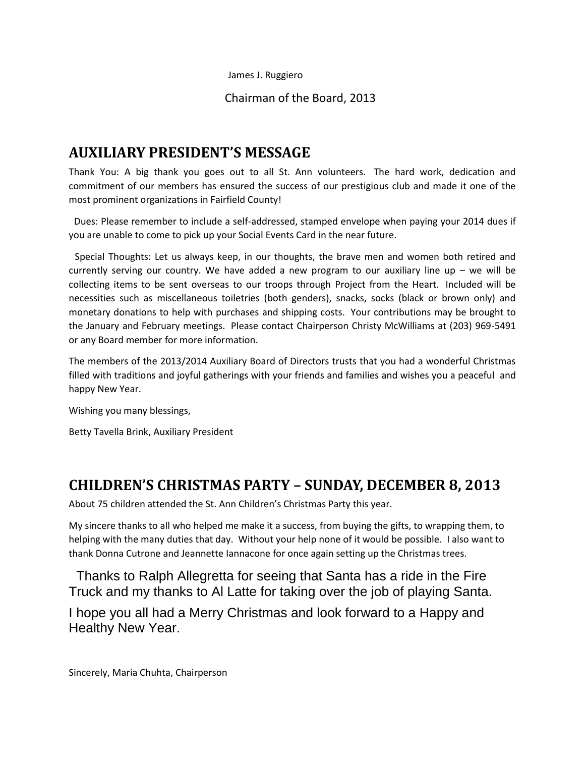James J. Ruggiero

Chairman of the Board, 2013

### **AUXILIARY PRESIDENT'S MESSAGE**

Thank You: A big thank you goes out to all St. Ann volunteers. The hard work, dedication and commitment of our members has ensured the success of our prestigious club and made it one of the most prominent organizations in Fairfield County!

Dues: Please remember to include a self-addressed, stamped envelope when paying your 2014 dues if you are unable to come to pick up your Social Events Card in the near future.

Special Thoughts: Let us always keep, in our thoughts, the brave men and women both retired and currently serving our country. We have added a new program to our auxiliary line up – we will be collecting items to be sent overseas to our troops through Project from the Heart. Included will be necessities such as miscellaneous toiletries (both genders), snacks, socks (black or brown only) and monetary donations to help with purchases and shipping costs. Your contributions may be brought to the January and February meetings. Please contact Chairperson Christy McWilliams at (203) 969-5491 or any Board member for more information.

The members of the 2013/2014 Auxiliary Board of Directors trusts that you had a wonderful Christmas filled with traditions and joyful gatherings with your friends and families and wishes you a peaceful and happy New Year.

Wishing you many blessings,

Betty Tavella Brink, Auxiliary President

### **CHILDREN'S CHRISTMAS PARTY – SUNDAY, DECEMBER 8, 2013**

About 75 children attended the St. Ann Children's Christmas Party this year.

My sincere thanks to all who helped me make it a success, from buying the gifts, to wrapping them, to helping with the many duties that day. Without your help none of it would be possible. I also want to thank Donna Cutrone and Jeannette Iannacone for once again setting up the Christmas trees.

Thanks to Ralph Allegretta for seeing that Santa has a ride in the Fire Truck and my thanks to Al Latte for taking over the job of playing Santa.

I hope you all had a Merry Christmas and look forward to a Happy and Healthy New Year.

Sincerely, Maria Chuhta, Chairperson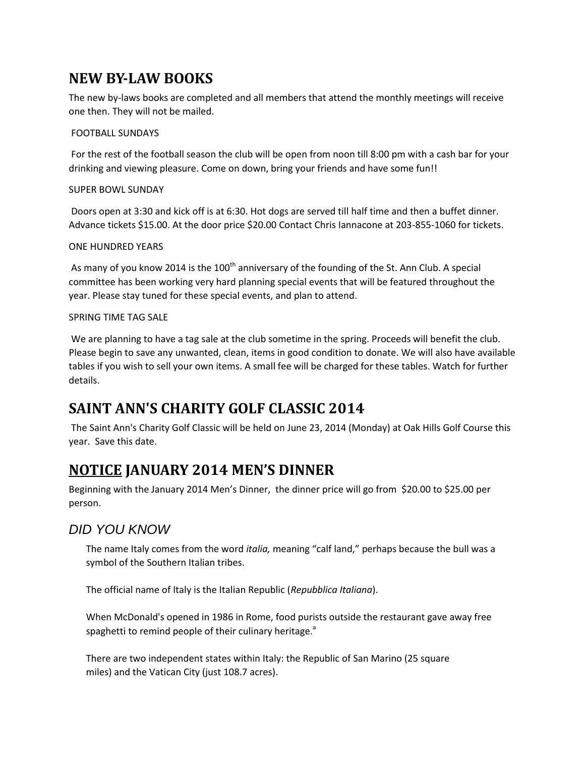## **NEW BY-LAW BOOKS**

The new by-laws books are completed and all members that attend the monthly meetings will receive one then. They will not be mailed.

#### FOOTBALL SUNDAYS

For the rest of the football season the club will be open from noon till 8:00 pm with a cash bar for your drinking and viewing pleasure. Come on down, bring your friends and have some fun!!

#### SUPER BOWL SUNDAY

Doors open at 3:30 and kick off is at 6:30. Hot dogs are served till half time and then a buffet dinner. Advance tickets \$15.00. At the door price \$20.00 Contact Chris Iannacone at 203-855-1060 for tickets.

#### ONE HUNDRED YEARS

As many of you know 2014 is the 100<sup>th</sup> anniversary of the founding of the St. Ann Club. A special committee has been working very hard planning special events that will be featured throughout the year. Please stay tuned for these special events, and plan to attend.

#### SPRING TIME TAG SALE

We are planning to have a tag sale at the club sometime in the spring. Proceeds will benefit the club. Please begin to save any unwanted, clean, items in good condition to donate. We will also have available tables if you wish to sell your own items. A small fee will be charged for these tables. Watch for further details.

## **SAINT ANN'S CHARITY GOLF CLASSIC 2014**

The Saint Ann's Charity Golf Classic will be held on June 23, 2014 (Monday) at Oak Hills Golf Course this year. Save this date.

### **NOTICE JANUARY 2014 MEN'S DINNER**

Beginning with the January 2014 Men's Dinner, the dinner price will go from \$20.00 to \$25.00 per person.

#### *DID YOU KNOW*

The name Italy comes from the word *italia,* meaning "calf land," perhaps because the bull was a symbol of the Southern Italian tribes.

The official name of Italy is the Italian Republic (*Repubblica Italiana*).

When McDonald's opened in 1986 in Rome, food purists outside the restaurant gave away free spaghetti to remind people of their culinary heritage.<sup>a</sup>

There are two independent states within Italy: the Republic of San Marino (25 square miles) and the Vatican City (just 108.7 acres).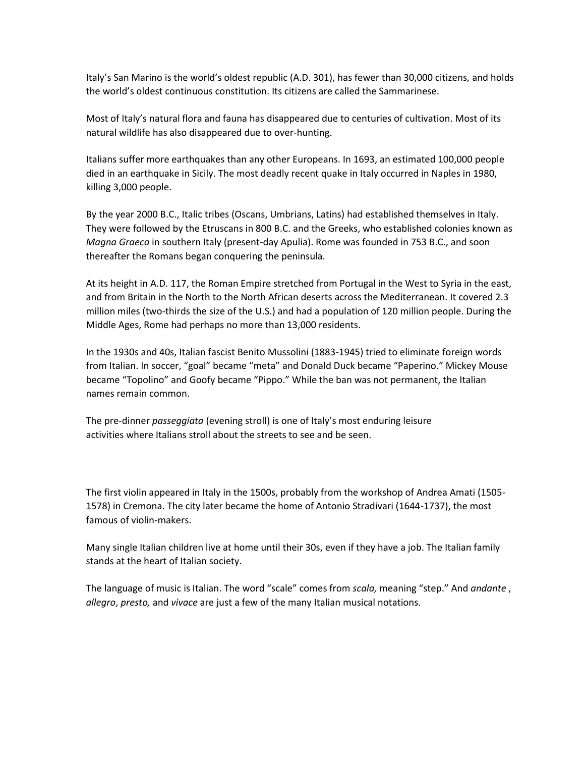Italy's San Marino is the world's oldest republic (A.D. 301), has fewer than 30,000 citizens, and holds the world's oldest continuous constitution. Its citizens are called the Sammarinese.

Most of Italy's natural flora and fauna has disappeared due to centuries of cultivation. Most of its natural wildlife has also disappeared due to over-hunting.

Italians suffer more earthquakes than any other Europeans. In 1693, an estimated 100,000 people died in an earthquake in Sicily. The most deadly recent quake in Italy occurred in Naples in 1980, killing 3,000 people.

By the year 2000 B.C., Italic tribes (Oscans, Umbrians, Latins) had established themselves in Italy. They were followed by the Etruscans in 800 B.C. and the Greeks, who established colonies known as *Magna Graeca* in southern Italy (present-day Apulia). Rome was founded in 753 B.C., and soon thereafter the Romans began conquering the peninsula.

At its height in A.D. 117, the Roman Empire stretched from Portugal in the West to Syria in the east, and from Britain in the North to the North African deserts across the Mediterranean. It covered 2.3 million miles (two-thirds the size of the U.S.) and had a population of 120 million people. During the Middle Ages, Rome had perhaps no more than 13,000 residents.

In the 1930s and 40s, Italian fascist Benito Mussolini (1883-1945) tried to eliminate foreign words from Italian. In soccer, "goal" became "meta" and Donald Duck became "Paperino." Mickey Mouse became "Topolino" and Goofy became "Pippo." While the ban was not permanent, the Italian names remain common.

The pre-dinner *passeggiata* (evening stroll) is one of Italy's most enduring leisure activities where Italians stroll about the streets to see and be seen.

The first violin appeared in Italy in the 1500s, probably from the workshop of Andrea Amati (1505- 1578) in Cremona. The city later became the home of Antonio Stradivari (1644-1737), the most famous of violin-makers.

Many single Italian children live at home until their 30s, even if they have a job. The Italian family stands at the heart of Italian society.

The language of music is Italian. The word "scale" comes from *scala,* meaning "step." And *andante* , *allegro*, *presto,* and *vivace* are just a few of the many Italian musical notations.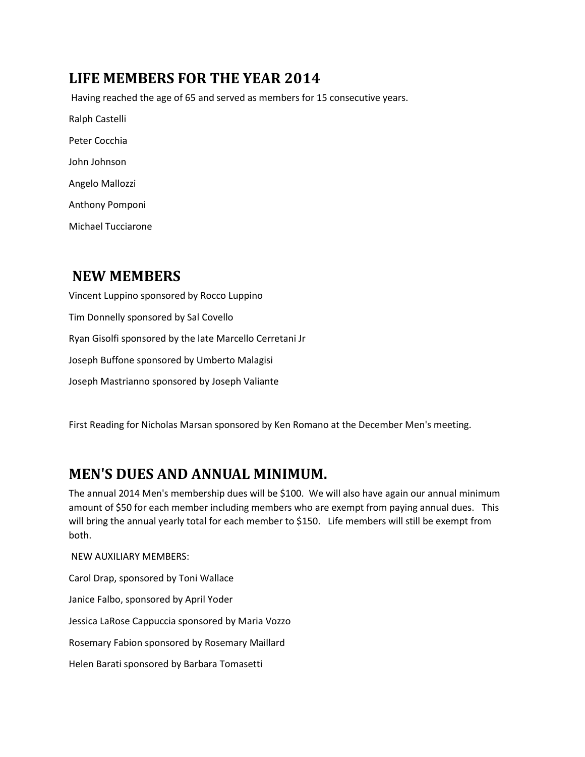## **LIFE MEMBERS FOR THE YEAR 2014**

Having reached the age of 65 and served as members for 15 consecutive years. Ralph Castelli Peter Cocchia John Johnson Angelo Mallozzi Anthony Pomponi

Michael Tucciarone

## **NEW MEMBERS**

Vincent Luppino sponsored by Rocco Luppino Tim Donnelly sponsored by Sal Covello Ryan Gisolfi sponsored by the late Marcello Cerretani Jr Joseph Buffone sponsored by Umberto Malagisi Joseph Mastrianno sponsored by Joseph Valiante

First Reading for Nicholas Marsan sponsored by Ken Romano at the December Men's meeting.

## **MEN'S DUES AND ANNUAL MINIMUM.**

The annual 2014 Men's membership dues will be \$100. We will also have again our annual minimum amount of \$50 for each member including members who are exempt from paying annual dues. This will bring the annual yearly total for each member to \$150. Life members will still be exempt from both.

NEW AUXILIARY MEMBERS:

Carol Drap, sponsored by Toni Wallace Janice Falbo, sponsored by April Yoder Jessica LaRose Cappuccia sponsored by Maria Vozzo Rosemary Fabion sponsored by Rosemary Maillard Helen Barati sponsored by Barbara Tomasetti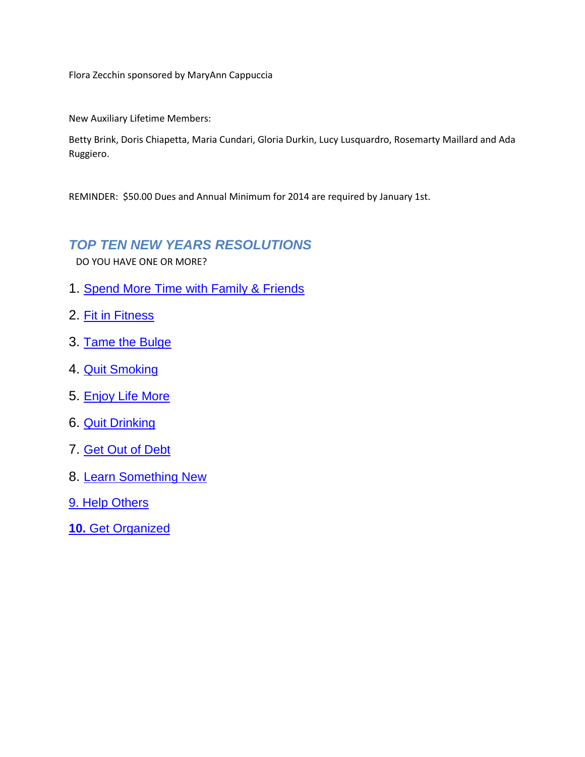Flora Zecchin sponsored by MaryAnn Cappuccia

New Auxiliary Lifetime Members:

Betty Brink, Doris Chiapetta, Maria Cundari, Gloria Durkin, Lucy Lusquardro, Rosemarty Maillard and Ada Ruggiero.

REMINDER: \$50.00 Dues and Annual Minimum for 2014 are required by January 1st.

#### *TOP TEN NEW YEARS RESOLUTIONS*

DO YOU HAVE ONE OR MORE?

- 1. [Spend More Time with Family & Friends](http://genealogy.about.com/od/family_connections/)
- 2. [Fit in Fitness](http://exercise.about.com/od/weightloss/a/newyear.htm)
- 3. [Tame the Bulge](http://weightloss.about.com/od/getstarted/a/areyouresolved.htm)
- 4. [Quit Smoking](http://quitsmoking.about.com/c/ec/1.htm)
- 5. [Enjoy Life More](http://healing.about.com/od/cocreate/ss/happieryousteps_8.htm)
- 6. [Quit Drinking](http://alcoholism.about.com/cs/support/a/aa092497.htm)
- 7. [Get Out of Debt](http://financialplan.about.com/cs/creditdebt/a/GetOutOfDebt.htm)
- 8. [Learn Something New](http://adulted.about.com/od/personaldevelopment/u/lifelonglearneruserpath.htm)
- 9. [Help Others](http://nonprofit.about.com/od/volunteers/a/flexiblevol.htm)
- **10.** [Get Organized](http://interiordec.about.com/od/homeorgarticles/a/a_organizelinks.htm)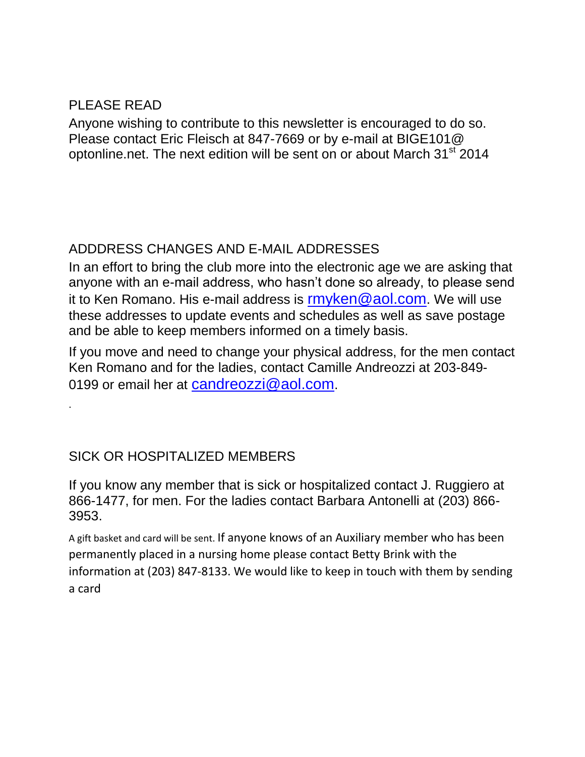### PLEASE READ

.

Anyone wishing to contribute to this newsletter is encouraged to do so. Please contact Eric Fleisch at 847-7669 or by e-mail at BIGE101@ optonline.net. The next edition will be sent on or about March 31<sup>st</sup> 2014

### ADDDRESS CHANGES AND E-MAIL ADDRESSES

In an effort to bring the club more into the electronic age we are asking that anyone with an e-mail address, who hasn't done so already, to please send it to Ken Romano. His e-mail address is  $\mathsf{m}$ yken@aol.com. We will use these addresses to update events and schedules as well as save postage and be able to keep members informed on a timely basis.

If you move and need to change your physical address, for the men contact Ken Romano and for the ladies, contact Camille Andreozzi at 203-849 0199 or email her at [candreozzi@aol.com](mailto:candreozzi@aol.com).

### SICK OR HOSPITALIZED MEMBERS

If you know any member that is sick or hospitalized contact J. Ruggiero at 866-1477, for men. For the ladies contact Barbara Antonelli at (203) 866- 3953.

A gift basket and card will be sent. If anyone knows of an Auxiliary member who has been permanently placed in a nursing home please contact Betty Brink with the information at (203) 847-8133. We would like to keep in touch with them by sending a card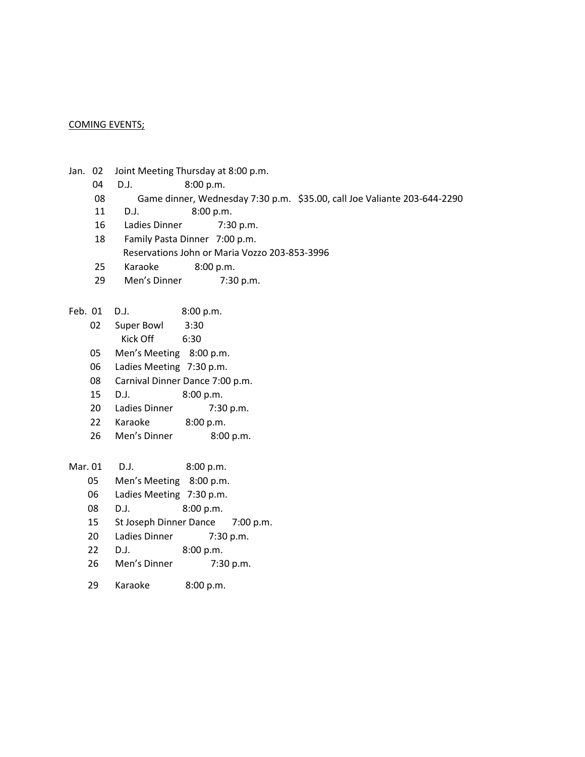#### COMING EVENTS;

- Jan. 02 Joint Meeting Thursday at 8:00 p.m.
	- 04 D.J. 8:00 p.m.
	- 08 Game dinner, Wednesday 7:30 p.m. \$35.00, call Joe Valiante 203-644-2290
	- 11 D.J. 8:00 p.m.
	- 16 Ladies Dinner 7:30 p.m.
	- 18 Family Pasta Dinner 7:00 p.m. Reservations John or Maria Vozzo 203-853-3996
	- 25 Karaoke 8:00 p.m.
	- 29 Men's Dinner 7:30 p.m.
- Feb. 01 D.J. 8:00 p.m.
	- 02 Super Bowl 3:30
		- Kick Off 6:30
	- 05 Men's Meeting 8:00 p.m.
	- 06 Ladies Meeting 7:30 p.m.
	- 08 Carnival Dinner Dance 7:00 p.m.
	- 15 D.J. 8:00 p.m.
	- 20 Ladies Dinner 7:30 p.m.
	- 22 Karaoke 8:00 p.m.
	- 26 Men's Dinner 8:00 p.m.

| Mar. 01 | D.J.                             | 8:00 p.m. |             |
|---------|----------------------------------|-----------|-------------|
| 05      | Men's Meeting 8:00 p.m.          |           |             |
| 06      | Ladies Meeting 7:30 p.m.         |           |             |
| 08      | D.I.                             | 8:00 p.m. |             |
| 15      | St Joseph Dinner Dance 7:00 p.m. |           |             |
| 20      | Ladies Dinner                    | 7:30 p.m. |             |
| 22      | D.I.                             | 8:00 p.m. |             |
| 26      | Men's Dinner                     |           | $7:30$ p.m. |
|         |                                  |           |             |

29 Karaoke 8:00 p.m.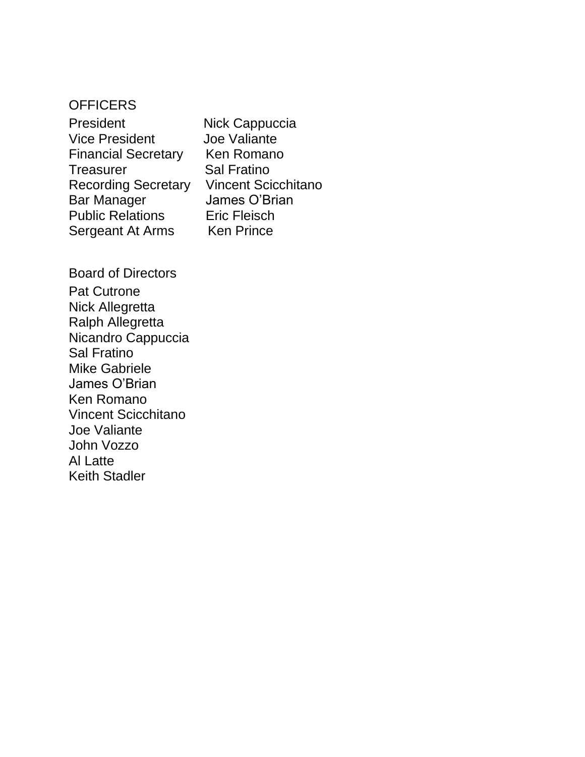### **OFFICERS**

| President                  |
|----------------------------|
| <b>Vice President</b>      |
| <b>Financial Secretary</b> |
| Treasurer                  |
| <b>Recording Secretary</b> |
| <b>Bar Manager</b>         |
| <b>Public Relations</b>    |
| Sergeant At Arms           |

Nick Cappuccia Joe Valiante Ken Romano Sal Fratino **Vincent Scicchitano** James O'Brian **Eric Fleisch** Ken Prince

Board of Directors Pat Cutrone Nick Allegretta Ralph Allegretta Nicandro Cappuccia Sal Fratino Mike Gabriele James O'Brian Ken Romano Vincent Scicchitano Joe Valiante John Vozzo Al Latte Keith Stadler